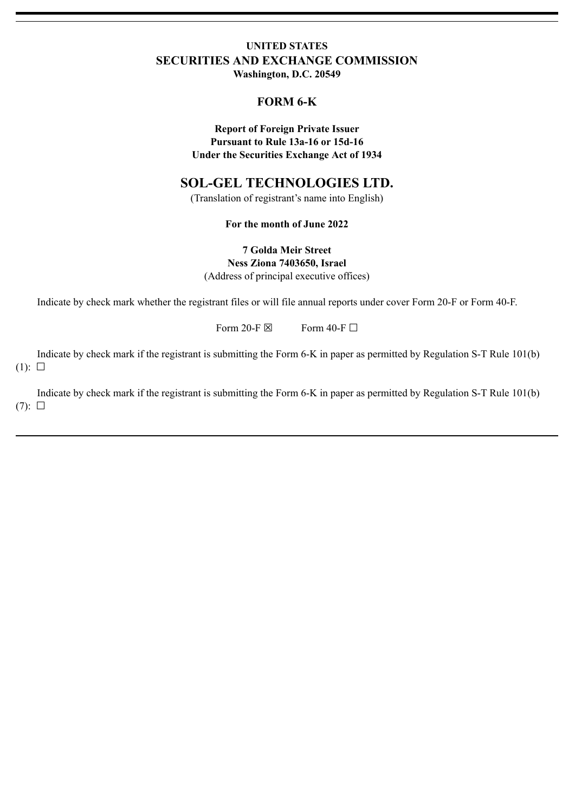# **UNITED STATES SECURITIES AND EXCHANGE COMMISSION**

**Washington, D.C. 20549**

## **FORM 6-K**

**Report of Foreign Private Issuer Pursuant to Rule 13a-16 or 15d-16 Under the Securities Exchange Act of 1934**

# **SOL-GEL TECHNOLOGIES LTD.**

(Translation of registrant's name into English)

**For the month of June 2022**

**7 Golda Meir Street Ness Ziona 7403650, Israel** (Address of principal executive offices)

Indicate by check mark whether the registrant files or will file annual reports under cover Form 20-F or Form 40-F.

Form 20-F  $\boxtimes$  Form 40-F  $\Box$ 

Indicate by check mark if the registrant is submitting the Form 6-K in paper as permitted by Regulation S-T Rule 101(b)  $(1): \Box$ 

Indicate by check mark if the registrant is submitting the Form 6-K in paper as permitted by Regulation S-T Rule 101(b)  $(7): \Box$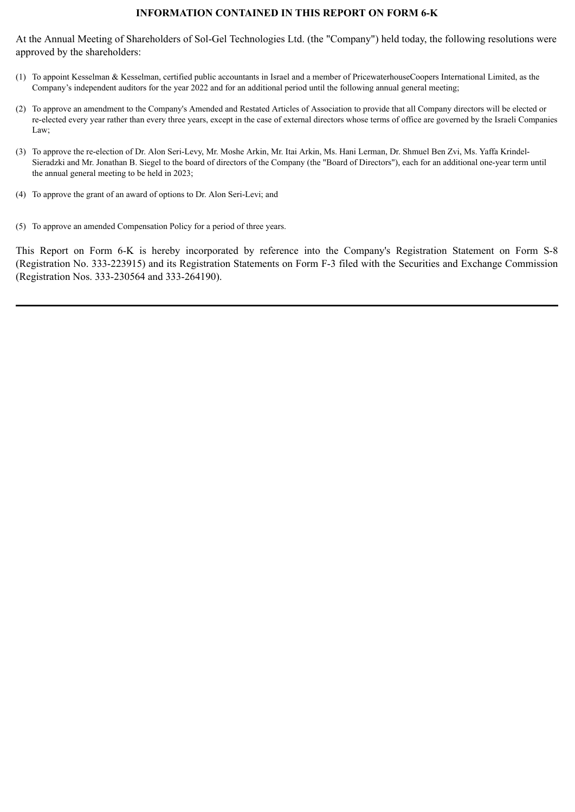## **INFORMATION CONTAINED IN THIS REPORT ON FORM 6-K**

At the Annual Meeting of Shareholders of Sol-Gel Technologies Ltd. (the "Company") held today, the following resolutions were approved by the shareholders:

- (1) To appoint Kesselman & Kesselman, certified public accountants in Israel and a member of PricewaterhouseCoopers International Limited, as the Company's independent auditors for the year 2022 and for an additional period until the following annual general meeting;
- (2) To approve an amendment to the Company's Amended and Restated Articles of Association to provide that all Company directors will be elected or re-elected every year rather than every three years, except in the case of external directors whose terms of office are governed by the Israeli Companies Law;
- (3) To approve the re-election of Dr. Alon Seri-Levy, Mr. Moshe Arkin, Mr. Itai Arkin, Ms. Hani Lerman, Dr. Shmuel Ben Zvi, Ms. Yaffa Krindel-Sieradzki and Mr. Jonathan B. Siegel to the board of directors of the Company (the "Board of Directors"), each for an additional one-year term until the annual general meeting to be held in 2023;
- (4) To approve the grant of an award of options to Dr. Alon Seri-Levi; and
- (5) To approve an amended Compensation Policy for a period of three years.

This Report on Form 6-K is hereby incorporated by reference into the Company's Registration Statement on Form S-8 (Registration No. 333-223915) and its Registration Statements on Form F-3 filed with the Securities and Exchange Commission (Registration Nos. 333-230564 and 333-264190).